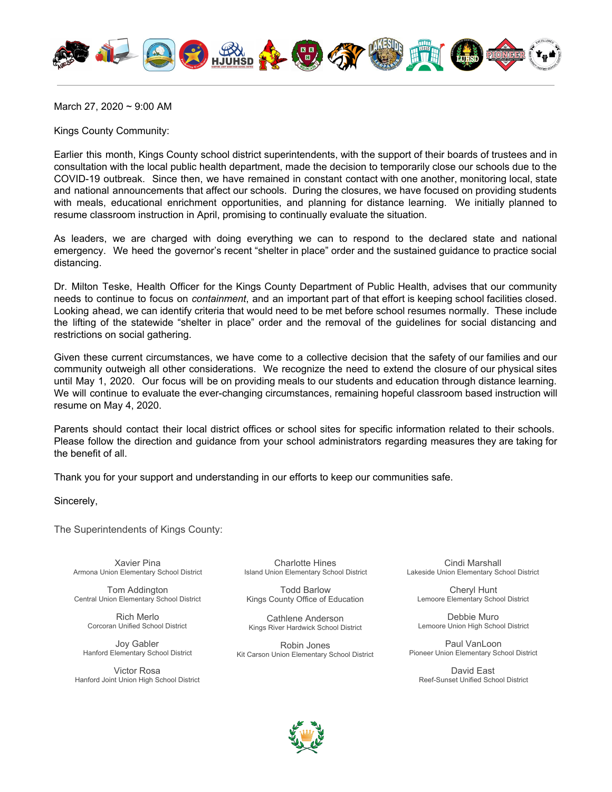

March 27, 2020 ~ 9:00 AM

Kings County Community:

Earlier this month, Kings County school district superintendents, with the support of their boards of trustees and in consultation with the local public health department, made the decision to temporarily close our schools due to the COVID-19 outbreak. Since then, we have remained in constant contact with one another, monitoring local, state and national announcements that affect our schools. During the closures, we have focused on providing students with meals, educational enrichment opportunities, and planning for distance learning. We initially planned to resume classroom instruction in April, promising to continually evaluate the situation.

As leaders, we are charged with doing everything we can to respond to the declared state and national emergency. We heed the governor's recent "shelter in place" order and the sustained guidance to practice social distancing.

Dr. Milton Teske, Health Officer for the Kings County Department of Public Health, advises that our community needs to continue to focus on *containment*, and an important part of that effort is keeping school facilities closed. Looking ahead, we can identify criteria that would need to be met before school resumes normally. These include the lifting of the statewide "shelter in place" order and the removal of the guidelines for social distancing and restrictions on social gathering.

Given these current circumstances, we have come to a collective decision that the safety of our families and our community outweigh all other considerations. We recognize the need to extend the closure of our physical sites until May 1, 2020. Our focus will be on providing meals to our students and education through distance learning. We will continue to evaluate the ever-changing circumstances, remaining hopeful classroom based instruction will resume on May 4, 2020.

Parents should contact their local district offices or school sites for specific information related to their schools. Please follow the direction and guidance from your school administrators regarding measures they are taking for the benefit of all.

Thank you for your support and understanding in our efforts to keep our communities safe.

Sincerely,

The Superintendents of Kings County:

Xavier Pina Armona Union Elementary School District

Tom Addington Central Union Elementary School District

> Rich Merlo Corcoran Unified School District

Joy Gabler Hanford Elementary School District

Victor Rosa Hanford Joint Union High School District

Charlotte Hines Island Union Elementary School District

Todd Barlow Kings County Office of Education

Cathlene Anderson Kings River Hardwick School District

Robin Jones Kit Carson Union Elementary School District

Cindi Marshall Lakeside Union Elementary School District

Cheryl Hunt Lemoore Elementary School District

Debbie Muro Lemoore Union High School District

Paul VanLoon Pioneer Union Elementary School District

David East Reef-Sunset Unified School District